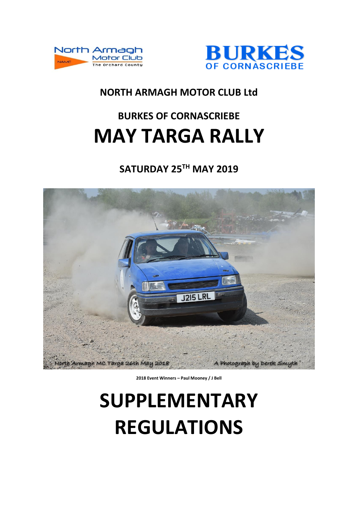



### **NORTH ARMAGH MOTOR CLUB Ltd**

## **BURKES OF CORNASCRIEBE MAY TARGA RALLY**

## **SATURDAY 25TH MAY 2019**



**2018 Event Winners – Paul Mooney / J Bell**

# **SUPPLEMENTARY REGULATIONS**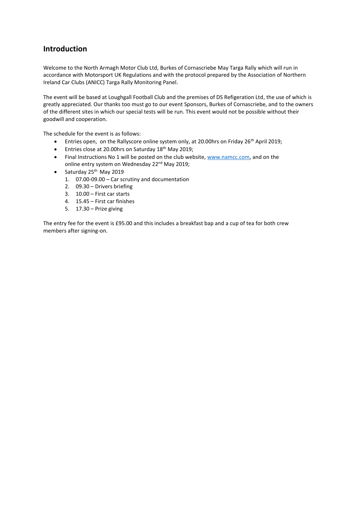#### **Introduction**

Welcome to the North Armagh Motor Club Ltd, Burkes of Cornascriebe May Targa Rally which will run in accordance with Motorsport UK Regulations and with the protocol prepared by the Association of Northern Ireland Car Clubs (ANICC) Targa Rally Monitoring Panel.

The event will be based at Loughgall Football Club and the premises of DS Refigeration Ltd, the use of which is greatly appreciated. Our thanks too must go to our event Sponsors, Burkes of Cornascriebe, and to the owners of the different sites in which our special tests will be run. This event would not be possible without their goodwill and cooperation.

The schedule for the event is as follows:

- Entries open, on the Rallyscore online system only, at 20.00hrs on Friday 26<sup>th</sup> April 2019;
- **Entries close at 20.00hrs on Saturday 18th May 2019;**
- Final Instructions No 1 will be posted on the club website, [www.namcc.com,](http://www.namcc.com/) and on the online entry system on Wednesday 22<sup>nd</sup> May 2019;
- $\bullet$  Saturday 25<sup>th</sup> May 2019
	- 1. 07.00-09.00 Car scrutiny and documentation
	- 2. 09.30 Drivers briefing
	- 3. 10.00 First car starts
	- 4. 15.45 First car finishes
	- 5. 17.30 Prize giving

The entry fee for the event is £95.00 and this includes a breakfast bap and a cup of tea for both crew members after signing-on.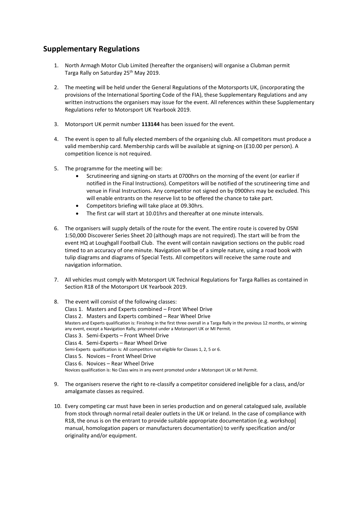#### **Supplementary Regulations**

- 1. North Armagh Motor Club Limited (hereafter the organisers) will organise a Clubman permit Targa Rally on Saturday 25<sup>th</sup> May 2019.
- 2. The meeting will be held under the General Regulations of the Motorsports UK, (incorporating the provisions of the International Sporting Code of the FIA), these Supplementary Regulations and any written instructions the organisers may issue for the event. All references within these Supplementary Regulations refer to Motorsport UK Yearbook 2019.
- 3. Motorsport UK permit number **113144** has been issued for the event.
- 4. The event is open to all fully elected members of the organising club. All competitors must produce a valid membership card. Membership cards will be available at signing-on (£10.00 per person). A competition licence is not required.
- 5. The programme for the meeting will be:
	- Scrutineering and signing-on starts at 0700hrs on the morning of the event (or earlier if notified in the Final Instructions). Competitors will be notified of the scrutineering time and venue in Final Instructions. Any competitor not signed on by 0900hrs may be excluded. This will enable entrants on the reserve list to be offered the chance to take part.
	- Competitors briefing will take place at 09.30hrs.
	- The first car will start at 10.01hrs and thereafter at one minute intervals.
- 6. The organisers will supply details of the route for the event. The entire route is covered by OSNI 1:50,000 Discoverer Series Sheet 20 (although maps are not required). The start will be from the event HQ at Loughgall Football Club. The event will contain navigation sections on the public road timed to an accuracy of one minute. Navigation will be of a simple nature, using a road book with tulip diagrams and diagrams of Special Tests. All competitors will receive the same route and navigation information.
- 7. All vehicles must comply with Motorsport UK Technical Regulations for Targa Rallies as contained in Section R18 of the Motorsport UK Yearbook 2019.
- 8. The event will consist of the following classes: Class 1. Masters and Experts combined – Front Wheel Drive Class 2. Masters and Experts combined – Rear Wheel Drive Masters and Experts qualification is: Finishing in the first three overall in a Targa Rally in the previous 12 months, or winning any event, except a Navigation Rally, promoted under a Motorsport UK or MI Permit. Class 3. Semi-Experts – Front Wheel Drive Class 4. Semi-Experts – Rear Wheel Drive Semi-Experts qualification is: All competitors not eligible for Classes 1, 2, 5 or 6. Class 5. Novices – Front Wheel Drive Class 6. Novices – Rear Wheel Drive Novices qualification is: No Class wins in any event promoted under a Motorsport UK or MI Permit.
- 9. The organisers reserve the right to re-classify a competitor considered ineligible for a class, and/or amalgamate classes as required.
- 10. Every competing car must have been in series production and on general catalogued sale, available from stock through normal retail dealer outlets in the UK or Ireland. In the case of compliance with R18, the onus is on the entrant to provide suitable appropriate documentation (e.g. workshop[ manual, homologation papers or manufacturers documentation) to verify specification and/or originality and/or equipment.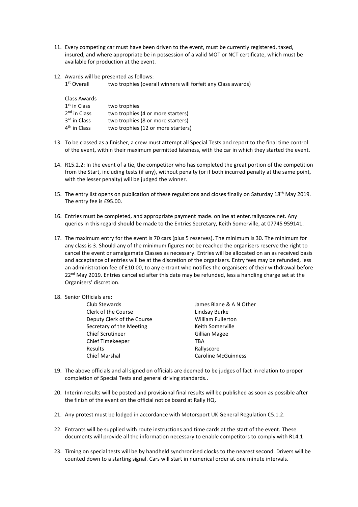- 11. Every competing car must have been driven to the event, must be currently registered, taxed, insured, and where appropriate be in possession of a valid MOT or NCT certificate, which must be available for production at the event.
- 12. Awards will be presented as follows:
	- 1st Overall two trophies (overall winners will forfeit any Class awards)

| Class Awards             |                                    |
|--------------------------|------------------------------------|
| $1st$ in Class           | two trophies                       |
| $2nd$ in Class           | two trophies (4 or more starters)  |
| 3 <sup>rd</sup> in Class | two trophies (8 or more starters)  |
| 4 <sup>th</sup> in Class | two trophies (12 or more starters) |

- 13. To be classed as a finisher, a crew must attempt all Special Tests and report to the final time control of the event, within their maximum permitted lateness, with the car in which they started the event.
- 14. R15.2.2: In the event of a tie, the competitor who has completed the great portion of the competition from the Start, including tests (if any), without penalty (or if both incurred penalty at the same point, with the lesser penalty) will be judged the winner.
- 15. The entry list opens on publication of these regulations and closes finally on Saturday 18th May 2019. The entry fee is £95.00.
- 16. Entries must be completed, and appropriate payment made. online at enter.rallyscore.net. Any queries in this regard should be made to the Entries Secretary, Keith Somerville, at 07745 959141.
- 17. The maximum entry for the event is 70 cars (plus 5 reserves). The minimum is 30. The minimum for any class is 3. Should any of the minimum figures not be reached the organisers reserve the right to cancel the event or amalgamate Classes as necessary. Entries will be allocated on an as received basis and acceptance of entries will be at the discretion of the organisers. Entry fees may be refunded, less an administration fee of £10.00, to any entrant who notifies the organisers of their withdrawal before 22<sup>nd</sup> May 2019. Entries cancelled after this date may be refunded, less a handling charge set at the Organisers' discretion.

#### 18. Senior Officials are:

| Club Stewards              | James Blane & A N Other    |
|----------------------------|----------------------------|
| Clerk of the Course        | Lindsay Burke              |
| Deputy Clerk of the Course | <b>William Fullerton</b>   |
| Secretary of the Meeting   | Keith Somerville           |
| <b>Chief Scrutineer</b>    | <b>Gillian Magee</b>       |
| <b>Chief Timekeeper</b>    | TRA                        |
| Results                    | Rallyscore                 |
| <b>Chief Marshal</b>       | <b>Caroline McGuinness</b> |

- 19. The above officials and all signed on officials are deemed to be judges of fact in relation to proper completion of Special Tests and general driving standards..
- 20. Interim results will be posted and provisional final results will be published as soon as possible after the finish of the event on the official notice board at Rally HQ.
- 21. Any protest must be lodged in accordance with Motorsport UK General Regulation C5.1.2.
- 22. Entrants will be supplied with route instructions and time cards at the start of the event. These documents will provide all the information necessary to enable competitors to comply with R14.1
- 23. Timing on special tests will be by handheld synchronised clocks to the nearest second. Drivers will be counted down to a starting signal. Cars will start in numerical order at one minute intervals.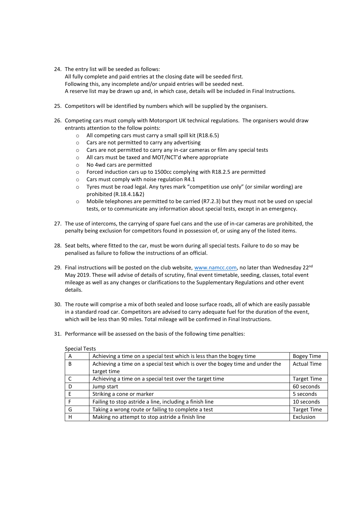- 24. The entry list will be seeded as follows: All fully complete and paid entries at the closing date will be seeded first. Following this, any incomplete and/or unpaid entries will be seeded next. A reserve list may be drawn up and, in which case, details will be included in Final Instructions.
- 25. Competitors will be identified by numbers which will be supplied by the organisers.
- 26. Competing cars must comply with Motorsport UK technical regulations. The organisers would draw entrants attention to the follow points:
	- o All competing cars must carry a small spill kit (R18.6.5)
	- o Cars are not permitted to carry any advertising
	- o Cars are not permitted to carry any in-car cameras or film any special tests
	- o All cars must be taxed and MOT/NCT'd where appropriate
	- o No 4wd cars are permitted
	- o Forced induction cars up to 1500cc complying with R18.2.5 are permitted
	- o Cars must comply with noise regulation R4.1
	- o Tyres must be road legal. Any tyres mark "competition use only" (or similar wording) are prohibited (R.18.4.1&2)
	- $\circ$  Mobile telephones are permitted to be carried (R7.2.3) but they must not be used on special tests, or to communicate any information about special tests, except in an emergency.
- 27. The use of intercoms, the carrying of spare fuel cans and the use of in-car cameras are prohibited, the penalty being exclusion for competitors found in possession of, or using any of the listed items.
- 28. Seat belts, where fitted to the car, must be worn during all special tests. Failure to do so may be penalised as failure to follow the instructions of an official.
- 29. Final instructions will be posted on the club website, [www.namcc.com,](http://www.namcc.com/) no later than Wednesday 22<sup>nd</sup> May 2019. These will advise of details of scrutiny, final event timetable, seeding, classes, total event mileage as well as any changes or clarifications to the Supplementary Regulations and other event details.
- 30. The route will comprise a mix of both sealed and loose surface roads, all of which are easily passable in a standard road car. Competitors are advised to carry adequate fuel for the duration of the event, which will be less than 90 miles. Total mileage will be confirmed in Final Instructions.
- 31. Performance will be assessed on the basis of the following time penalties:

| A | Achieving a time on a special test which is less than the bogey time          | <b>Bogey Time</b>  |
|---|-------------------------------------------------------------------------------|--------------------|
| B | Achieving a time on a special test which is over the bogey time and under the | <b>Actual Time</b> |
|   | target time                                                                   |                    |
|   | Achieving a time on a special test over the target time                       | <b>Target Time</b> |
| D | Jump start                                                                    | 60 seconds         |
|   | Striking a cone or marker                                                     | 5 seconds          |
|   | Failing to stop astride a line, including a finish line                       | 10 seconds         |
| G | Taking a wrong route or failing to complete a test                            | <b>Target Time</b> |
| H | Making no attempt to stop astride a finish line                               | Exclusion          |

Special Tests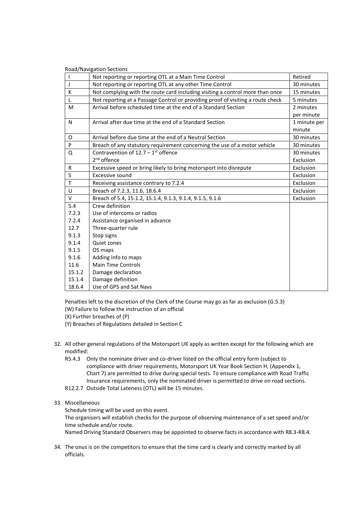|        | <b>Road/Navigation Sections</b><br>Not reporting or reporting OTL at a Main Time Control | Retired      |
|--------|------------------------------------------------------------------------------------------|--------------|
| J      | Not reporting or reporting OTL at any other Time Control                                 | 30 minutes   |
| K      | Not complying with the route card including visiting a control more than once            | 15 minutes   |
| L      | Not reporting at a Passage Control or providing proof of visiting a route check          | 5 minutes    |
|        |                                                                                          |              |
| M      | Arrival before scheduled time at the end of a Standard Section                           | 2 minutes    |
|        |                                                                                          | per minute   |
| N      | Arrival after due time at the end of a Standard Section                                  | 1 minute per |
|        |                                                                                          | minute       |
| O      | Arrival before due time at the end of a Neutral Section                                  | 30 minutes   |
| P      | Breach of any statutory requirement concerning the use of a motor vehicle                | 30 minutes   |
| Q      | Contravention of $12.7 - 1$ <sup>st</sup> offence                                        | 30 minutes   |
|        | 2 <sup>nd</sup> offence                                                                  | Exclusion    |
| R      | Excessive speed or bring likely to bring motorsport into disrepute                       | Exclusion    |
| S      | Excessive sound                                                                          | Exclusion    |
| T      | Receiving assistance contrary to 7.2.4                                                   | Exclusion    |
| U      | Breach of 7.2.3, 11.6, 18.6.4                                                            | Exclusion    |
| $\vee$ | Breach of 5.4, 15.1.2, 15.1.4, 9.1.3, 9.1.4, 9.1.5, 9.1.6                                | Exclusion    |
| 5.4    | Crew definition                                                                          |              |
| 7.2.3  | Use of intercoms or radios                                                               |              |
| 7.2.4  | Assistance organised in advance                                                          |              |
| 12.7   | Three-quarter rule                                                                       |              |
| 9.1.3  | Stop signs                                                                               |              |
| 9.1.4  | Quiet zones                                                                              |              |
| 9.1.5  | OS maps                                                                                  |              |
| 9.1.6  | Adding info to maps                                                                      |              |
| 11.6   | <b>Main Time Controls</b>                                                                |              |
| 15.1.2 | Damage declaration                                                                       |              |
| 15.1.4 | Damage definition                                                                        |              |
| 18.6.4 | Use of GPS and Sat Navs                                                                  |              |

Penalties left to the discretion of the Clerk of the Course may go as far as exclusion (G.5.3)

- (W) Failure to follow the instruction of an official
- (X) Further breaches of (P)

(Y) Breaches of Regulations detailed in Section C

- 32. All other general regulations of the Motorsport UK apply as written except for the following which are modified:
	- R5.4.3 Only the nominate driver and co-driver listed on the official entry form (subject to compliance with driver requirements, Motorsport UK Year Book Section H, (Appendix 1, Chart 7) are permitted to drive during special tests. To ensure compliance with Road Traffic Insurance requirements, only the nominated driver is permitted to drive on road sections.
	- R12.2.7 Outside Total Lateness (OTL) will be 15 minutes.
- 33. Miscellaneous

Schedule timing will be used on this event.

The organisers will establish checks for the purpose of observing maintenance of a set speed and/or time schedule and/or route.

Named Driving Standard Observers may be appointed to observe facts in accordance with R8.3-R8.4.

34. The onus is on the competitors to ensure that the time card is clearly and correctly marked by all officials.